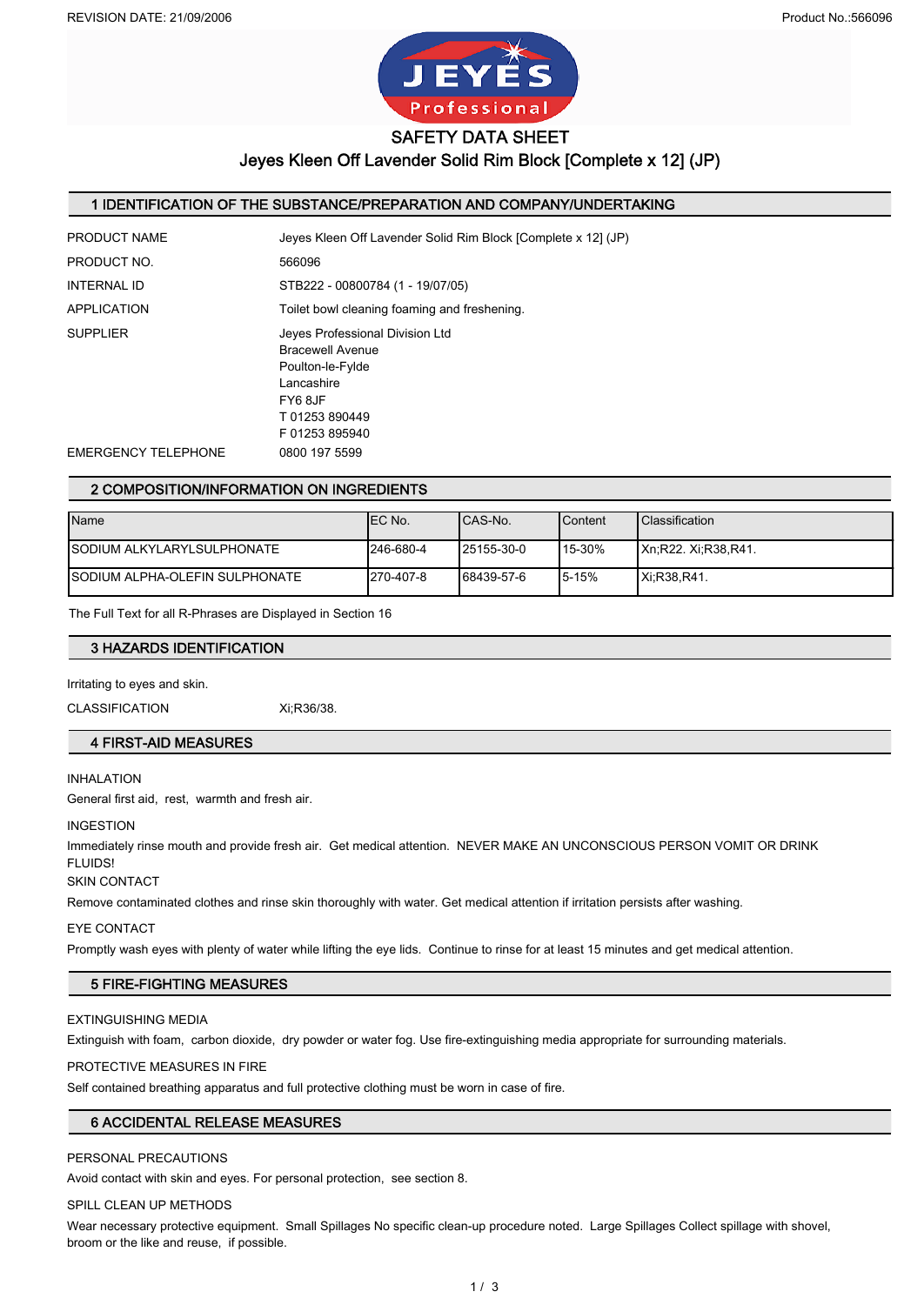

SAFETY DATA SHEET

Jeyes Kleen Off Lavender Solid Rim Block [Complete x 12] (JP)

### 1 IDENTIFICATION OF THE SUBSTANCE/PREPARATION AND COMPANY/UNDERTAKING

| PRODUCT NAME               | Jeyes Kleen Off Lavender Solid Rim Block [Complete x 12] (JP)                                                                     |
|----------------------------|-----------------------------------------------------------------------------------------------------------------------------------|
| PRODUCT NO.                | 566096                                                                                                                            |
| <b>INTERNAL ID</b>         | STB222 - 00800784 (1 - 19/07/05)                                                                                                  |
| <b>APPLICATION</b>         | Toilet bowl cleaning foaming and freshening.                                                                                      |
| <b>SUPPLIER</b>            | Jeves Professional Division Ltd<br>Bracewell Avenue<br>Poulton-le-Fylde<br>Lancashire<br>FY68JF<br>T01253890449<br>F 01253 895940 |
| <b>EMERGENCY TELEPHONE</b> | 0800 197 5599                                                                                                                     |
|                            |                                                                                                                                   |

### 2 COMPOSITION/INFORMATION ON INGREDIENTS

| Name                                   | IEC No.   | ICAS-No.   | Content    | <b>Classification</b> |
|----------------------------------------|-----------|------------|------------|-----------------------|
| <b>ISODIUM ALKYLARYLSULPHONATE</b>     | 246-680-4 | 25155-30-0 | $115-30\%$ | IXn.R22. Xi.R38.R41.  |
| <b>ISODIUM ALPHA-OLEFIN SULPHONATE</b> | 270-407-8 | 68439-57-6 | 15-15%     | <b>Xi, R38, R41.</b>  |

The Full Text for all R-Phrases are Displayed in Section 16

### 3 HAZARDS IDENTIFICATION

Irritating to eyes and skin.

CLASSIFICATION Xi;R36/38.

### 4 FIRST-AID MEASURES

### INHALATION

General first aid, rest, warmth and fresh air.

#### INGESTION

Immediately rinse mouth and provide fresh air. Get medical attention. NEVER MAKE AN UNCONSCIOUS PERSON VOMIT OR DRINK **FLUIDS!** 

### SKIN CONTACT

Remove contaminated clothes and rinse skin thoroughly with water. Get medical attention if irritation persists after washing.

#### EYE CONTACT

Promptly wash eyes with plenty of water while lifting the eye lids. Continue to rinse for at least 15 minutes and get medical attention.

### 5 FIRE-FIGHTING MEASURES

#### EXTINGUISHING MEDIA

Extinguish with foam, carbon dioxide, dry powder or water fog. Use fire-extinguishing media appropriate for surrounding materials.

#### PROTECTIVE MEASURES IN FIRE

Self contained breathing apparatus and full protective clothing must be worn in case of fire.

### 6 ACCIDENTAL RELEASE MEASURES

### PERSONAL PRECAUTIONS

Avoid contact with skin and eyes. For personal protection, see section 8.

#### SPILL CLEAN UP METHODS

Wear necessary protective equipment. Small Spillages No specific clean-up procedure noted. Large Spillages Collect spillage with shovel, broom or the like and reuse, if possible.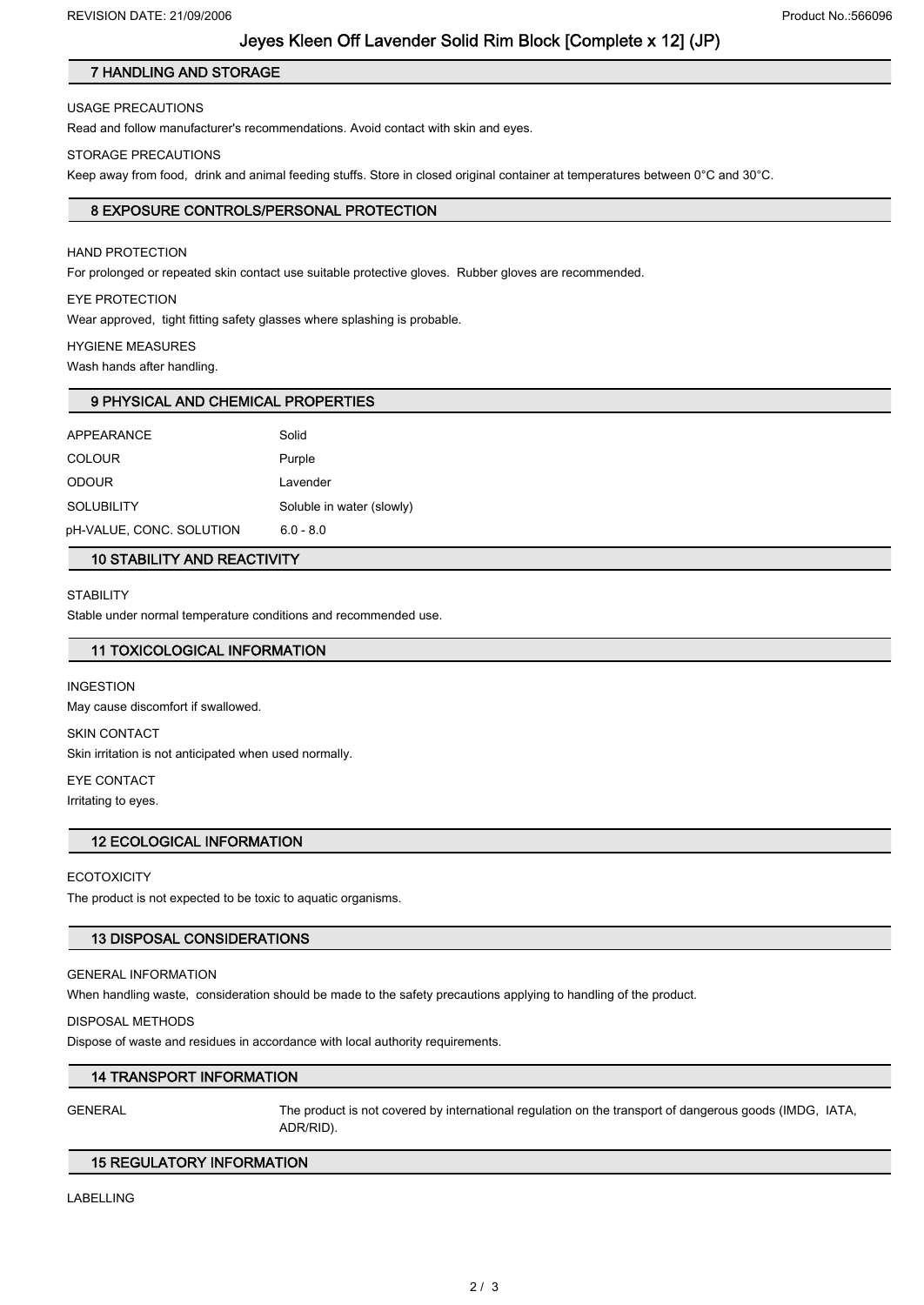# Jeyes Kleen Off Lavender Solid Rim Block [Complete x 12] (JP)

# 7 HANDLING AND STORAGE

## USAGE PRECAUTIONS

Read and follow manufacturer's recommendations. Avoid contact with skin and eyes.

## STORAGE PRECAUTIONS

Keep away from food, drink and animal feeding stuffs. Store in closed original container at temperatures between 0°C and 30°C.

# 8 EXPOSURE CONTROLS/PERSONAL PROTECTION

# HAND PROTECTION

For prolonged or repeated skin contact use suitable protective gloves. Rubber gloves are recommended.

# EYE PROTECTION

Wear approved, tight fitting safety glasses where splashing is probable.

# HYGIENE MEASURES

Wash hands after handling.

# 9 PHYSICAL AND CHEMICAL PROPERTIES

| <b>APPEARANCE</b>        | Solid                     |
|--------------------------|---------------------------|
| <b>COLOUR</b>            | Purple                    |
| <b>ODOUR</b>             | Lavender                  |
| <b>SOLUBILITY</b>        | Soluble in water (slowly) |
| pH-VALUE, CONC. SOLUTION | $6.0 - 8.0$               |

# 10 STABILITY AND REACTIVITY

### **STABILITY**

Stable under normal temperature conditions and recommended use.

# 11 TOXICOLOGICAL INFORMATION

### INGESTION

May cause discomfort if swallowed.

#### SKIN CONTACT

Skin irritation is not anticipated when used normally.

### EYE CONTACT

Irritating to eyes.

### 12 ECOLOGICAL INFORMATION

### **ECOTOXICITY**

The product is not expected to be toxic to aquatic organisms.

### 13 DISPOSAL CONSIDERATIONS

### GENERAL INFORMATION

When handling waste, consideration should be made to the safety precautions applying to handling of the product.

### DISPOSAL METHODS

Dispose of waste and residues in accordance with local authority requirements.

### 14 TRANSPORT INFORMATION

GENERAL The product is not covered by international regulation on the transport of dangerous goods (IMDG, IATA, ADR/RID).

### 15 REGULATORY INFORMATION

LABELLING